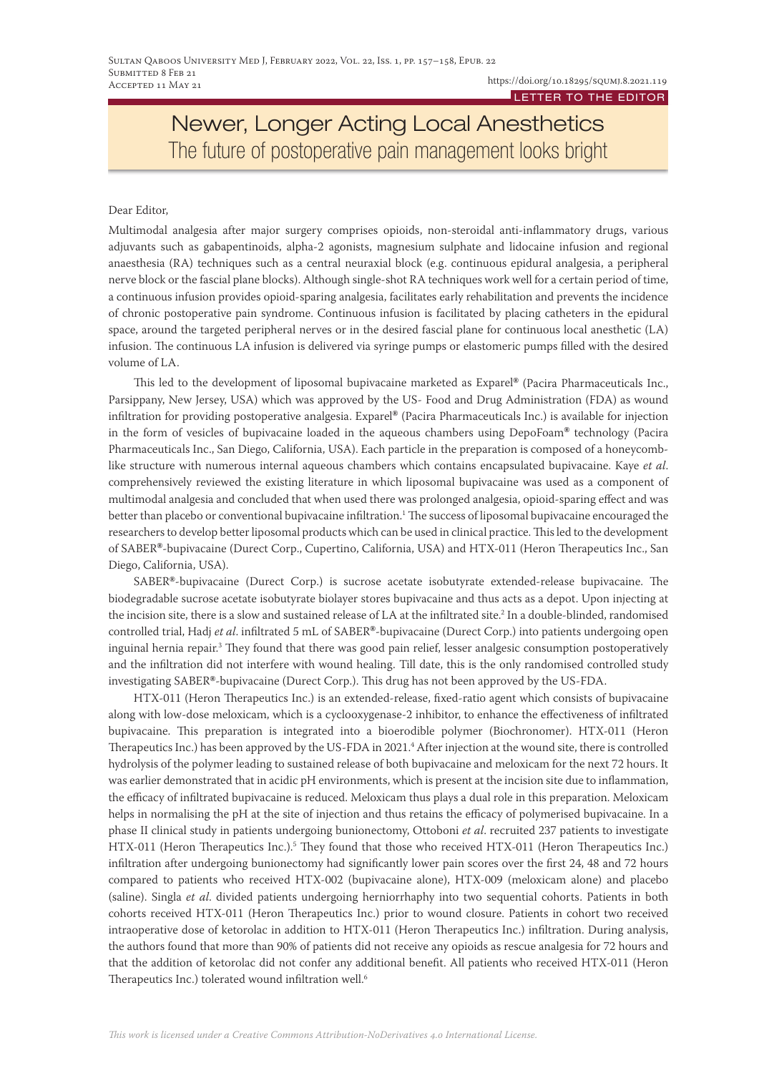# Newer, Longer Acting Local Anesthetics The future of postoperative pain management looks bright

#### Dear Editor,

Multimodal analgesia after major surgery comprises opioids, non-steroidal anti-inflammatory drugs, various adjuvants such as gabapentinoids, alpha-2 agonists, magnesium sulphate and lidocaine infusion and regional anaesthesia (RA) techniques such as a central neuraxial block (e.g. continuous epidural analgesia, a peripheral nerve block or the fascial plane blocks). Although single-shot RA techniques work well for a certain period of time, a continuous infusion provides opioid-sparing analgesia, facilitates early rehabilitation and prevents the incidence of chronic postoperative pain syndrome. Continuous infusion is facilitated by placing catheters in the epidural space, around the targeted peripheral nerves or in the desired fascial plane for continuous local anesthetic (LA) infusion. The continuous LA infusion is delivered via syringe pumps or elastomeric pumps filled with the desired volume of LA.

This led to the development of liposomal bupivacaine marketed as Exparel**®** (Pacira Pharmaceuticals Inc., Parsippany, New Jersey, USA) which was approved by the US- Food and Drug Administration (FDA) as wound infiltration for providing postoperative analgesia. Exparel**®** (Pacira Pharmaceuticals Inc.) is available for injection in the form of vesicles of bupivacaine loaded in the aqueous chambers using DepoFoam**®** technology (Pacira Pharmaceuticals Inc., San Diego, California, USA). Each particle in the preparation is composed of a honeycomblike structure with numerous internal aqueous chambers which contains encapsulated bupivacaine. Kaye *et al*. comprehensively reviewed the existing literature in which liposomal bupivacaine was used as a component of multimodal analgesia and concluded that when used there was prolonged analgesia, opioid-sparing effect and was better than placebo or conventional bupivacaine infiltration.<sup>1</sup> The success of liposomal bupivacaine encouraged the researchers to develop better liposomal products which can be used in clinical practice. This led to the development of SABER**®**-bupivacaine (Durect Corp., Cupertino, California, USA) and HTX-011 (Heron Therapeutics Inc., San Diego, California, USA).

SABER**®**-bupivacaine (Durect Corp.) is sucrose acetate isobutyrate extended-release bupivacaine. The biodegradable sucrose acetate isobutyrate biolayer stores bupivacaine and thus acts as a depot. Upon injecting at the incision site, there is a slow and sustained release of LA at the infiltrated site. $^2$  In a double-blinded, randomised controlled trial, Hadj *et al*. infiltrated 5 mL of SABER**®**-bupivacaine (Durect Corp.) into patients undergoing open inguinal hernia repair.3 They found that there was good pain relief, lesser analgesic consumption postoperatively and the infiltration did not interfere with wound healing. Till date, this is the only randomised controlled study investigating SABER**®**-bupivacaine (Durect Corp.). This drug has not been approved by the US-FDA.

HTX-011 (Heron Therapeutics Inc.) is an extended-release, fixed-ratio agent which consists of bupivacaine along with low-dose meloxicam, which is a cyclooxygenase-2 inhibitor, to enhance the effectiveness of infiltrated bupivacaine. This preparation is integrated into a bioerodible polymer (Biochronomer). HTX-011 (Heron Therapeutics Inc.) has been approved by the US-FDA in 2021.4 After injection at the wound site, there is controlled hydrolysis of the polymer leading to sustained release of both bupivacaine and meloxicam for the next 72 hours. It was earlier demonstrated that in acidic pH environments, which is present at the incision site due to inflammation, the efficacy of infiltrated bupivacaine is reduced. Meloxicam thus plays a dual role in this preparation. Meloxicam helps in normalising the pH at the site of injection and thus retains the efficacy of polymerised bupivacaine. In a phase II clinical study in patients undergoing bunionectomy, Ottoboni *et al*. recruited 237 patients to investigate HTX-011 (Heron Therapeutics Inc.).<sup>5</sup> They found that those who received HTX-011 (Heron Therapeutics Inc.) infiltration after undergoing bunionectomy had significantly lower pain scores over the first 24, 48 and 72 hours compared to patients who received HTX-002 (bupivacaine alone), HTX-009 (meloxicam alone) and placebo (saline). Singla *et al*. divided patients undergoing herniorrhaphy into two sequential cohorts. Patients in both cohorts received HTX-011 (Heron Therapeutics Inc.) prior to wound closure. Patients in cohort two received intraoperative dose of ketorolac in addition to HTX-011 (Heron Therapeutics Inc.) infiltration. During analysis, the authors found that more than 90% of patients did not receive any opioids as rescue analgesia for 72 hours and that the addition of ketorolac did not confer any additional benefit. All patients who received HTX-011 (Heron Therapeutics Inc.) tolerated wound infiltration well.<sup>6</sup>